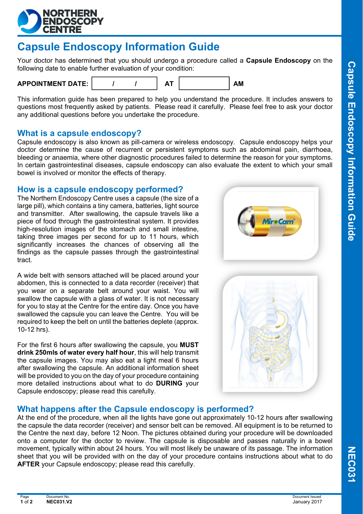

# **Capsule Endoscopy Information Guide**

Your doctor has determined that you should undergo a procedure called a **Capsule Endoscopy** on the following date to enable further evaluation of your condition:



This information guide has been prepared to help you understand the procedure. It includes answers to questions most frequently asked by patients. Please read it carefully. Please feel free to ask your doctor any additional questions before you undertake the procedure.

### **What is a capsule endoscopy?**

Capsule endoscopy is also known as pill-camera or wireless endoscopy. Capsule endoscopy helps your doctor determine the cause of recurrent or persistent symptoms such as abdominal pain, diarrhoea, bleeding or anaemia, where other diagnostic procedures failed to determine the reason for your symptoms. In certain gastrointestinal diseases, capsule endoscopy can also evaluate the extent to which your small bowel is involved or monitor the effects of therapy.

#### **How is a capsule endoscopy performed?**

The Northern Endoscopy Centre uses a capsule (the size of a large pill), which contains a tiny camera, batteries, light source and transmitter. After swallowing, the capsule travels like a piece of food through the gastrointestinal system. It provides high-resolution images of the stomach and small intestine, taking three images per second for up to 11 hours, which significantly increases the chances of observing all the findings as the capsule passes through the gastrointestinal tract.

A wide belt with sensors attached will be placed around your abdomen, this is connected to a data recorder (receiver) that you wear on a separate belt around your waist. You will swallow the capsule with a glass of water. It is not necessary for you to stay at the Centre for the entire day. Once you have swallowed the capsule you can leave the Centre. You will be required to keep the belt on until the batteries deplete (approx. 10-12 hrs).

For the first 6 hours after swallowing the capsule, you **MUST drink 250mls of water every half hour**, this will help transmit the capsule images. You may also eat a light meal 6 hours after swallowing the capsule. An additional information sheet will be provided to you on the day of your procedure containing more detailed instructions about what to do **DURING** your Capsule endoscopy; please read this carefully.





### **What happens after the Capsule endoscopy is performed?**

At the end of the procedure, when all the lights have gone out approximately 10-12 hours after swallowing the capsule the data recorder (receiver) and sensor belt can be removed. All equipment is to be returned to the Centre the next day, before 12 Noon. The pictures obtained during your procedure will be downloaded onto a computer for the doctor to review. The capsule is disposable and passes naturally in a bowel movement, typically within about 24 hours. You will most likely be unaware of its passage. The information sheet that you will be provided with on the day of your procedure contains instructions about what to do **AFTER** your Capsule endoscopy; please read this carefully.